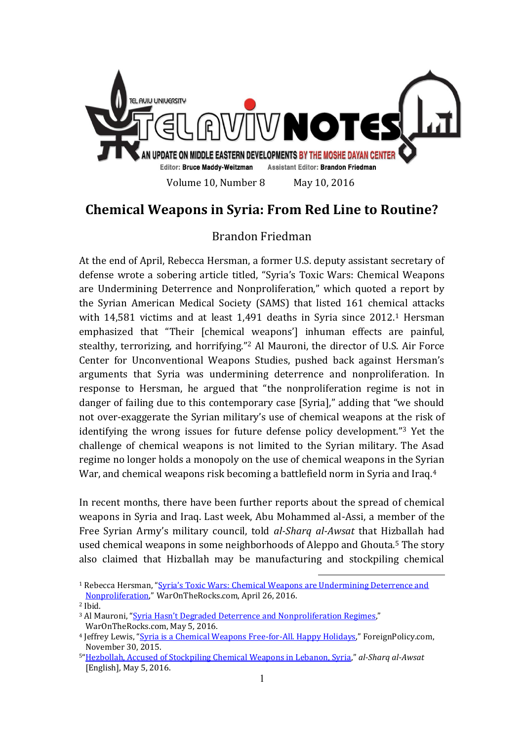

## **Chemical Weapons in Syria: From Red Line to Routine?**

## Brandon Friedman

At the end of April, Rebecca Hersman, a former U.S. deputy assistant secretary of defense wrote a sobering article titled, "Syria's Toxic Wars: Chemical Weapons are Undermining Deterrence and Nonproliferation," which quoted a report by the Syrian American Medical Society (SAMS) that listed 161 chemical attacks with 14,581 victims and at least 1,491 deaths in Syria since 2012.<sup>1</sup> Hersman emphasized that "Their [chemical weapons'] inhuman effects are painful, stealthy, terrorizing, and horrifying."<sup>2</sup> Al Mauroni, the director of U.S. Air Force Center for Unconventional Weapons Studies, pushed back against Hersman's arguments that Syria was undermining deterrence and nonproliferation. In response to Hersman, he argued that "the nonproliferation regime is not in danger of failing due to this contemporary case [Syria]," adding that "we should not over-exaggerate the Syrian military's use of chemical weapons at the risk of identifying the wrong issues for future defense policy development."<sup>3</sup> Yet the challenge of chemical weapons is not limited to the Syrian military. The Asad regime no longer holds a monopoly on the use of chemical weapons in the Syrian War, and chemical weapons risk becoming a battlefield norm in Syria and Iraq.<sup>4</sup>

In recent months, there have been further reports about the spread of chemical weapons in Syria and Iraq. Last week, Abu Mohammed al-Assi, a member of the Free Syrian Army's military council, told *al-Sharq al-Awsat* that Hizballah had used chemical weapons in some neighborhoods of Aleppo and Ghouta.<sup>5</sup> The story also claimed that Hizballah may be manufacturing and stockpiling chemical

<u>.</u>

<sup>1</sup> Rebecca Hersman, ["Syria's Toxic Wars: Chemical Weapons are U](http://warontherocks.com/2016/04/syrias-toxic-war-chemical-weapons-are-undermining-deterrence-and-nonproliferation/)ndermining Deterrence and [Nonproliferation](http://warontherocks.com/2016/04/syrias-toxic-war-chemical-weapons-are-undermining-deterrence-and-nonproliferation/)," WarOnTheRocks.com, April 26, 2016.

<sup>2</sup> Ibid.

<sup>&</sup>lt;sup>3</sup> Al Mauroni, ["Syria Hasn't Degraded Deterrence and Nonpr](http://warontherocks.com/2016/05/syria-hasnt-degraded-deterrence-and-nonproliferation-regimes/)oliferation Regimes," WarOnTheRocks.com, May 5, 2016.

<sup>4</sup> Jeffrey Lewis, "[Syria is a Chemical Weapons Free-for-All. Happy Holidays](http://foreignpolicy.com/2015/11/30/syria-is-a-chemical-weapons-free-for-all-happy-holidays/)," ForeignPolicy.com, November 30, 2015.

<sup>5</sup>"[Hezbollah, Accused of Stockpiling Chemical Weapons in Lebanon, Syria](http://english.aawsat.com/2016/05/article55350287/hezbollah-accused-stockpiling-chemical-weapons-lebanon-syria)," *al-Sharq al-Awsat* [English], May 5, 2016.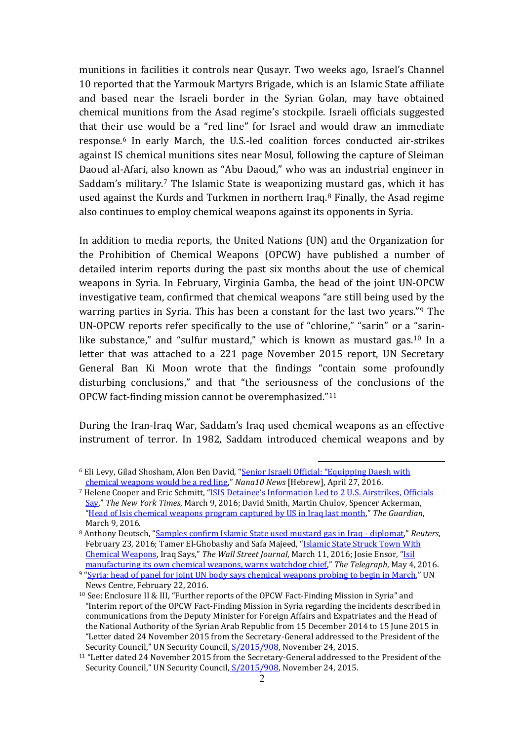munitions in facilities it controls near Qusayr. Two weeks ago, Israel's Channel 10 reported that the Yarmouk Martyrs Brigade, which is an Islamic State affiliate and based near the Israeli border in the Syrian Golan, may have obtained chemical munitions from the Asad regime's stockpile. Israeli officials suggested that their use would be a "red line" for Israel and would draw an immediate response.<sup>6</sup> In early March, the U.S.-led coalition forces conducted air-strikes against IS chemical munitions sites near Mosul, following the capture of Sleiman Daoud al-Afari, also known as "Abu Daoud," who was an industrial engineer in Saddam's military.<sup>7</sup> The Islamic State is weaponizing mustard gas, which it has used against the Kurds and Turkmen in northern Iraq.<sup>8</sup> Finally, the Asad regime also continues to employ chemical weapons against its opponents in Syria.

In addition to media reports, the United Nations (UN) and the Organization for the Prohibition of Chemical Weapons (OPCW) have published a number of detailed interim reports during the past six months about the use of chemical weapons in Syria. In February, Virginia Gamba, the head of the joint UN-OPCW investigative team, confirmed that chemical weapons "are still being used by the warring parties in Syria. This has been a constant for the last two years."<sup>9</sup> The UN-OPCW reports refer specifically to the use of "chlorine," "sarin" or a "sarinlike substance," and "sulfur mustard," which is known as mustard gas.<sup>10</sup> In a letter that was attached to a 221 page November 2015 report, UN Secretary General Ban Ki Moon wrote that the findings "contain some profoundly disturbing conclusions," and that "the seriousness of the conclusions of the OPCW fact-finding mission cannot be overemphasized."<sup>11</sup>

During the Iran-Iraq War, Saddam's Iraq used chemical weapons as an effective instrument of terror. In 1982, Saddam introduced chemical weapons and by

<u>.</u>

<sup>6</sup> Eli Levy, Gilad Shosham, Alon Ben David, ["Senior Israeli Official: "Equipping Daesh with](http://news.nana10.co.il/Article/?ArticleID=1186793)  [chemical weapons would be a red line](http://news.nana10.co.il/Article/?ArticleID=1186793)," *Nana10 News* [Hebrew], April 27, 2016.

<sup>7</sup> Helene Cooper and Eric Schmitt, ["ISIS Detainee's Information Led to 2 U.S. Airstrikes, Officials](http://www.nytimes.com/2016/03/10/world/middleeast/isis-detainee-mustard-gas.html?partner=socialflow&smid=tw-nytnational&smtyp=cur)  [Say](http://www.nytimes.com/2016/03/10/world/middleeast/isis-detainee-mustard-gas.html?partner=socialflow&smid=tw-nytnational&smtyp=cur)," *The New York Times*, March 9, 2016; David Smith, Martin Chulov, Spencer Ackerman, "[Head of Isis chemical weapons program captured by US in Iraq last month](http://www.theguardian.com/world/2016/mar/09/isis-chemical-weapons-leader-captured-iraq-us-special-forces)," *The Guardian*, March 9, 2016.

<sup>8</sup> Anthony Deutsch, "[Samples confirm Islamic State used mustard gas in Iraq -](http://www.reuters.com/article/us-mideast-crisis-iraq-chemicalweapons-idUSKCN0VO1IC) diplomat," *Reuters*, February 23, 2016; Tamer El-Ghobashy and Safa Majeed, "[Islamic State Struck Town With](http://www.wsj.com/articles/iraqis-say-islamic-state-attacked-town-using-chemical-agent-1457716543)  [Chemical Weapons](http://www.wsj.com/articles/iraqis-say-islamic-state-attacked-town-using-chemical-agent-1457716543), Iraq Says," *The Wall Street Journal*, March 11, 2016; Josie Ensor, "[Isil](http://www.telegraph.co.uk/news/2016/05/04/isil-manufacturing-its-own-chemical-weapons-warns-watchdog-chief/)  [manufacturing its own chemical weapons, warns watchdog chief](http://www.telegraph.co.uk/news/2016/05/04/isil-manufacturing-its-own-chemical-weapons-warns-watchdog-chief/)," *The Telegraph*, May 4, 2016.

<sup>9</sup> "[Syria: head of panel for joint UN body says chemical weapons probing to begin in March](http://www.un.org/apps/news/story.asp?NewsID=53291&Kw1=chemical+weapons&Kw2=&Kw3=#.Vy3oloRcSko)," UN News Centre, February 22, 2016.

<sup>10</sup> See: Enclosure II & III, "Further reports of the OPCW Fact-Finding Mission in Syria" and "Interim report of the OPCW Fact-Finding Mission in Syria regarding the incidents described in communications from the Deputy Minister for Foreign Affairs and Expatriates and the Head of the National Authority of the Syrian Arab Republic from 15 December 2014 to 15 June 2015 in "Letter dated 24 November 2015 from the Secretary-General addressed to the President of the Security Council," UN Security Council,  $S/2015/908$ , November 24, 2015.

<sup>&</sup>lt;sup>11</sup> "Letter dated 24 November 2015 from the Secretary-General addressed to the President of the Security Council," UN Security Council,  $S/2015/908$ , November 24, 2015.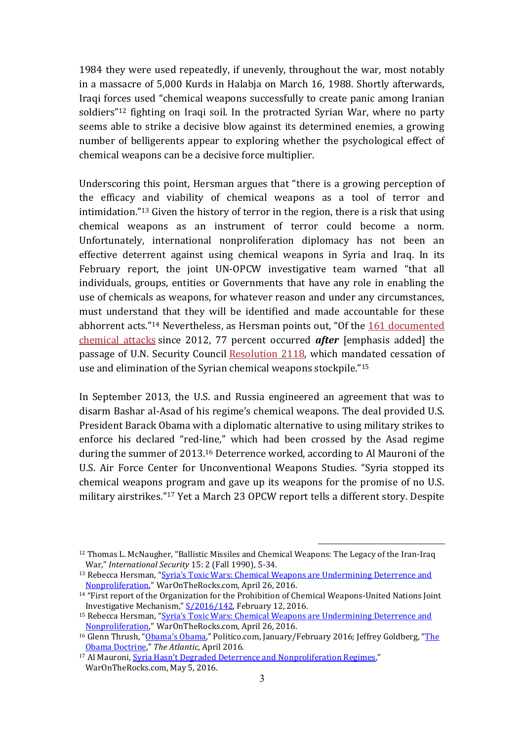1984 they were used repeatedly, if unevenly, throughout the war, most notably in a massacre of 5,000 Kurds in Halabja on March 16, 1988. Shortly afterwards, Iraqi forces used "chemical weapons successfully to create panic among Iranian soldiers"<sup>12</sup> fighting on Iraqi soil. In the protracted Syrian War, where no party seems able to strike a decisive blow against its determined enemies, a growing number of belligerents appear to exploring whether the psychological effect of chemical weapons can be a decisive force multiplier.

Underscoring this point, Hersman argues that "there is a growing perception of the efficacy and viability of chemical weapons as a tool of terror and intimidation."<sup>13</sup> Given the history of terror in the region, there is a risk that using chemical weapons as an instrument of terror could become a norm. Unfortunately, international nonproliferation diplomacy has not been an effective deterrent against using chemical weapons in Syria and Iraq. In its February report, the joint UN-OPCW investigative team warned "that all individuals, groups, entities or Governments that have any role in enabling the use of chemicals as weapons, for whatever reason and under any circumstances, must understand that they will be identified and made accountable for these abhorrent acts."<sup>14</sup> Nevertheless, as Hersman points out, "Of the 161 documented [chemical attacks](https://www.sams-usa.net/foundation/index.php/component/content/article/2-uncategorised/255-a-new-normal-ongoing-chemical-weapons-attacks-in-syria) since 2012, 77 percent occurred *after* [emphasis added] the passage of U.N. Security Council [Resolution 2118,](http://www.securitycouncilreport.org/atf/cf/%7B65BFCF9B-6D27-4E9C-8CD3-CF6E4FF96FF9%7D/s_res_2118.pdf) which mandated cessation of use and elimination of the Syrian chemical weapons stockpile."<sup>15</sup>

In September 2013, the U.S. and Russia engineered an agreement that was to disarm Bashar al-Asad of his regime's chemical weapons. The deal provided U.S. President Barack Obama with a diplomatic alternative to using military strikes to enforce his declared "red-line," which had been crossed by the Asad regime during the summer of 2013.<sup>16</sup> Deterrence worked, according to Al Mauroni of the U.S. Air Force Center for Unconventional Weapons Studies. "Syria stopped its chemical weapons program and gave up its weapons for the promise of no U.S. military airstrikes."<sup>17</sup> Yet a March 23 OPCW report tells a different story. Despite

1

<sup>&</sup>lt;sup>12</sup> Thomas L. McNaugher, "Ballistic Missiles and Chemical Weapons: The Legacy of the Iran-Iraq War," *International Security* 15: 2 (Fall 1990), 5-34.

<sup>13</sup> Rebecca Hersman, ["Syria's Toxic Wars: Chemical Weapons are Undermining Deterrence and](http://warontherocks.com/2016/04/syrias-toxic-war-chemical-weapons-are-undermining-deterrence-and-nonproliferation/)  [Nonproliferation](http://warontherocks.com/2016/04/syrias-toxic-war-chemical-weapons-are-undermining-deterrence-and-nonproliferation/)," WarOnTheRocks.com, April 26, 2016.

<sup>14</sup> "First report of the Organization for the Prohibition of Chemical Weapons-United Nations Joint Investigative Mechanism," [S/2016/142,](http://www.un.org/ga/search/view_doc.asp?symbol=S/2016/142) February 12, 2016.

<sup>&</sup>lt;sup>15</sup> Rebecca Hersman, "Syria's Toxic Wars: Chemical Weapons are Undermining Deterrence and [Nonproliferation](http://warontherocks.com/2016/04/syrias-toxic-war-chemical-weapons-are-undermining-deterrence-and-nonproliferation/)," WarOnTheRocks.com, April 26, 2016.

<sup>&</sup>lt;sup>16</sup> Glenn Thrush, ["Obama's Obama,"](http://www.politico.com/magazine/story/2016/01/denis-mcdonough-profile-213488) Politico.com, January/February 2016; Jeffrey Goldberg, "The [Obama Doctrine](http://www.theatlantic.com/magazine/archive/2016/04/the-obama-doctrine/471525/)," *The Atlantic*, April 2016.

<sup>&</sup>lt;sup>17</sup> Al Mauroni, **[Syria Hasn't Degraded Deterrence and Nonproliferation Regimes,](http://warontherocks.com/2016/05/syria-hasnt-degraded-deterrence-and-nonproliferation-regimes/)"** WarOnTheRocks.com, May 5, 2016.